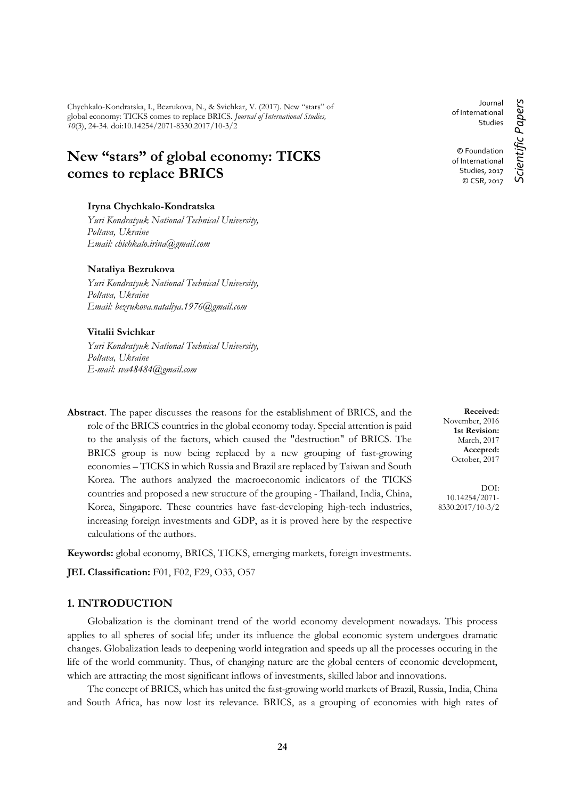Chychkalo-Kondratska, I., Bezrukova, N., & Svichkar, V. (2017). New "stars" of global economy: TICKS comes to replace BRICS. *Journal of International Studies, 10*(3), 24-34. doi:10.14254/2071-8330.2017/10-3/2

# **New "stars" of global economy: TICKS comes to replace BRICS**

#### **Iryna Chychkalo-Kondratska**

*Yuri Kondratyuk National Technical University, Poltava, Ukraine Email: chichkalo.irina@gmail.com*

#### **Nataliya Bezrukova**

*Yuri Kondratyuk National Technical University, Poltava, Ukraine Email: bezrukova.nataliya.1976@gmail.com*

#### **Vitalii Svichkar**

*Yuri Kondratyuk National Technical University, Poltava, Ukraine E-mail: sva48484@gmail.com*

**Abstract**. The paper discusses the reasons for the establishment of BRICS, and the role of the BRICS countries in the global economy today. Special attention is paid to the analysis of the factors, which caused the "destruction" of BRICS. The BRICS group is now being replaced by a new grouping of fast-growing economies – TICKS in which Russia and Brazil are replaced by Taiwan and South Korea. The authors analyzed the macroeconomic indicators of the TICKS countries and proposed a new structure of the grouping - Thailand, India, China, Korea, Singapore. These countries have fast-developing high-tech industries, increasing foreign investments and GDP, as it is proved here by the respective calculations of the authors.

**Keywords:** global economy, BRICS, TICKS, emerging markets, foreign investments.

**JEL Classification:** F01, F02, F29, O33, O57

#### **1. INTRODUCTION**

Globalization is the dominant trend of the world economy development nowadays. This process applies to all spheres of social life; under its influence the global economic system undergoes dramatic changes. Globalization leads to deepening world integration and speeds up all the processes occuring in the life of the world community. Thus, of changing nature are the global centers of economic development, which are attracting the most significant inflows of investments, skilled labor and innovations.

The concept of BRICS, which has united the fast-growing world markets of Brazil, Russia, India, China and South Africa, has now lost its relevance. BRICS, as a grouping of economies with high rates of

Journal of International Studies

*Scientific Papers*

Scientific Papers

© Foundation of International Studies, 2017 © CSR, 2017

**Received:** November, 2016 **1st Revision:** March, 2017 **Accepted:** October, 2017

DOI: 10.14254/2071- 8330.2017/10-3/2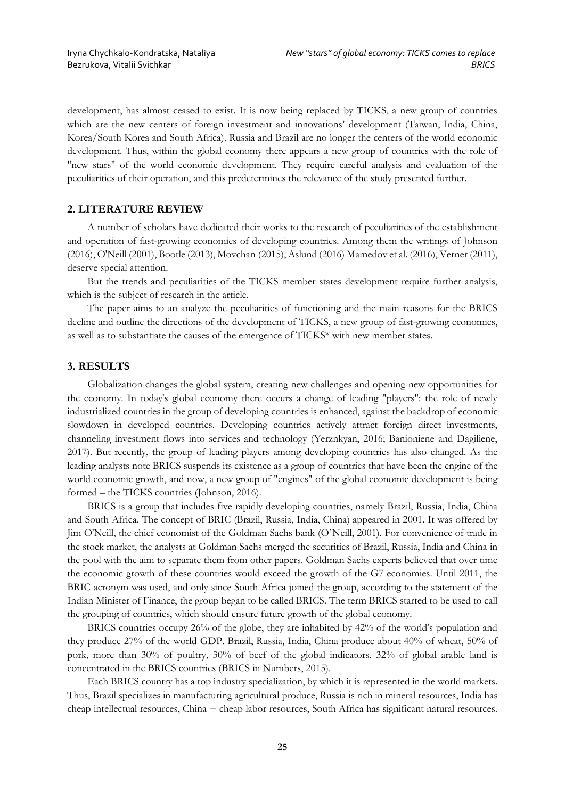development, has almost ceased to exist. It is now being replaced by TICKS, a new group of countries which are the new centers of foreign investment and innovations' development (Taiwan, India, China, Korea/South Korea and South Africa). Russia and Brazil are no longer the centers of the world economic development. Thus, within the global economy there appears a new group of countries with the role of "new stars" of the world economic development. They require careful analysis and evaluation of the peculiarities of their operation, and this predetermines the relevance of the study presented further.

## **2. LITERATURE REVIEW**

A number of scholars have dedicated their works to the research of peculiarities of the establishment and operation of fast-growing economies of developing countries. Among them the writings of Johnson (2016), O'Neill (2001), Bootle (2013), Movchan (2015), Aslund (2016) Mamedov et al. (2016), Verner (2011), deserve special attention.

But the trends and peculiarities of the TICKS member states development require further analysis, which is the subject of research in the article.

The paper aims to an analyze the peculiarities of functioning and the main reasons for the BRICS decline and outline the directions of the development of TICKS, a new group of fast-growing economies, as well as to substantiate the causes of the emergence of TICKS\* with new member states.

# **3. RESULTS**

Globalization changes the global system, creating new challenges and opening new opportunities for the economy. In today's global economy there occurs a change of leading "players": the role of newly industrialized countries in the group of developing countries is enhanced, against the backdrop of economic slowdown in developed countries. Developing countries actively attract foreign direct investments, channeling investment flows into services and technology (Yerznkyan, 2016; Banioniene and Dagiliene, 2017). But recently, the group of leading players among developing countries has also changed. As the leading analysts note BRICS suspends its existence as a group of countries that have been the engine of the world economic growth, and now, a new group of "engines" of the global economic development is being formed – the TICKS countries (Johnson, 2016).

BRICS is a group that includes five rapidly developing countries, namely Brazil, Russia, India, China and South Africa. The concept of BRIC (Brazil, Russia, India, China) appeared in 2001. It was offered by Jim O'Neill, the chief economist of the Goldman Sachs bank (O`Neill, 2001). For convenience of trade in the stock market, the analysts at Goldman Sachs merged the securities of Brazil, Russia, India and China in the pool with the aim to separate them from other papers. Goldman Sachs experts believed that over time the economic growth of these countries would exceed the growth of the G7 economies. Until 2011, the BRIC acronym was used, and only since South Africa joined the group, according to the statement of the Indian Minister of Finance, the group began to be called BRICS. The term BRICS started to be used to call the grouping of countries, which should ensure future growth of the global economy.

BRICS countries occupy 26% of the globe, they are inhabited by 42% of the world's population and they produce 27% of the world GDP. Brazil, Russia, India, China produce about 40% of wheat, 50% of pork, more than 30% of poultry, 30% of beef of the global indicators. 32% of global arable land is concentrated in the BRICS countries (BRICS in Numbers, 2015).

Each BRICS country has a top industry specialization, by which it is represented in the world markets. Thus, Brazil specializes in manufacturing agricultural produce, Russia is rich in mineral resources, India has cheap intellectual resources, China − cheap labor resources, South Africa has significant natural resources.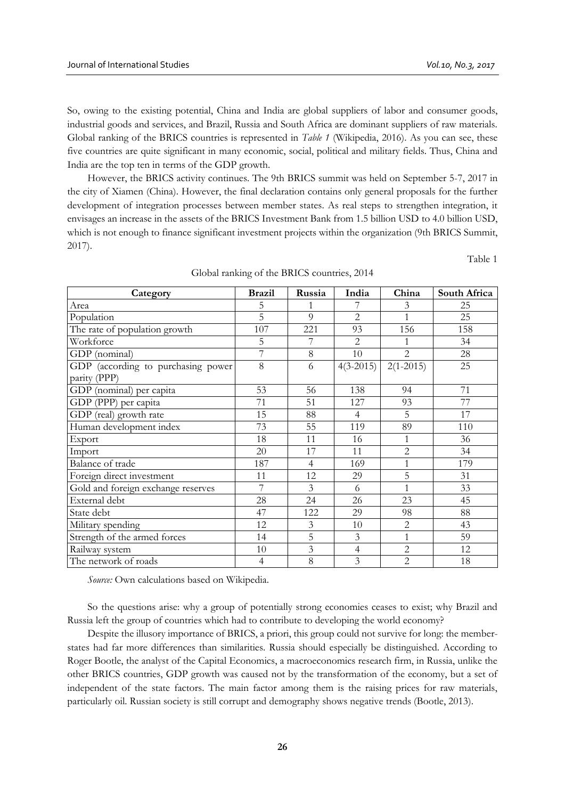So, owing to the existing potential, China and India are global suppliers of labor and consumer goods, industrial goods and services, and Brazil, Russia and South Africa are dominant suppliers of raw materials. Global ranking of the BRICS countries is represented in *Table 1* (Wikipedia, 2016). As you can see, these five countries are quite significant in many economic, social, political and military fields. Thus, China and India are the top ten in terms of the GDP growth.

However, the BRICS activity continues. The 9th BRICS summit was held on September 5-7, 2017 in the city of Xiamen (China). However, the final declaration contains only general proposals for the further development of integration processes between member states. As real steps to strengthen integration, it envisages an increase in the assets of the BRICS Investment Bank from 1.5 billion USD to 4.0 billion USD, which is not enough to finance significant investment projects within the organization (9th BRICS Summit, 2017).

Table 1

| Category                                           | <b>Brazil</b>  | Russia<br>India     |                | China          | South Africa |
|----------------------------------------------------|----------------|---------------------|----------------|----------------|--------------|
| Area                                               | 5              | 1                   |                | 3              | 25           |
| Population                                         | 5              | 9<br>$\overline{2}$ |                | 1              | 25           |
| The rate of population growth                      | 107            | 221                 | 93             | 156            | 158          |
| Workforce                                          | 5              | 7                   | $\overline{2}$ |                | 34           |
| GDP (nominal)                                      | 7              | 8                   | 10             | $\overline{2}$ | 28           |
| GDP (according to purchasing power<br>parity (PPP) | 8              | 6                   | $4(3-2015)$    | $2(1-2015)$    | 25           |
| GDP (nominal) per capita                           | 53             | 56                  | 138            | 94             | 71           |
| GDP (PPP) per capita                               | 71             | 51                  | 127            | 93             | 77           |
| GDP (real) growth rate                             | 15             | 88                  | $\overline{4}$ | 5              | 17           |
| Human development index                            | 73             | 55                  | 119            | 89             | 110          |
| Export                                             | 18             | 11                  | 16             | 1              | 36           |
| Import                                             | 20             | 17                  | 11             | $\overline{2}$ | 34           |
| Balance of trade                                   | 187            | $\overline{4}$      | 169            |                | 179          |
| Foreign direct investment                          | 11             | 12                  | 5<br>29        |                | 31           |
| Gold and foreign exchange reserves                 | 7              | 3                   | 6              | $\mathbf{1}$   | 33           |
| External debt                                      | 28             | 24                  | 26             | 23             | 45           |
| State debt                                         | 47             | 122                 | 29             | 98             | 88           |
| Military spending                                  | 12             | $\mathfrak{Z}$      | 10             | $\overline{2}$ | 43           |
| Strength of the armed forces                       | 14             | 5                   | 3              | 1              | 59           |
| Railway system                                     | 10             | 3                   | $\overline{4}$ | $\overline{2}$ | 12           |
| The network of roads                               | $\overline{4}$ | 8                   | 3              | $\overline{2}$ | 18           |

|  |  |  |  | Global ranking of the BRICS countries, 2014 |  |
|--|--|--|--|---------------------------------------------|--|
|--|--|--|--|---------------------------------------------|--|

*Source:* Own calculations based on Wikipedia.

So the questions arise: why a group of potentially strong economies ceases to exist; why Brazil and Russia left the group of countries which had to contribute to developing the world economy?

Despite the illusory importance of BRICS, a priori, this group could not survive for long: the memberstates had far more differences than similarities. Russia should especially be distinguished. According to Roger Bootle, the analyst of the Capital Economics, a macroeconomics research firm, in Russia, unlike the other BRICS countries, GDP growth was caused not by the transformation of the economy, but a set of independent of the state factors. The main factor among them is the raising prices for raw materials, particularly oil. Russian society is still corrupt and demography shows negative trends (Bootle, 2013).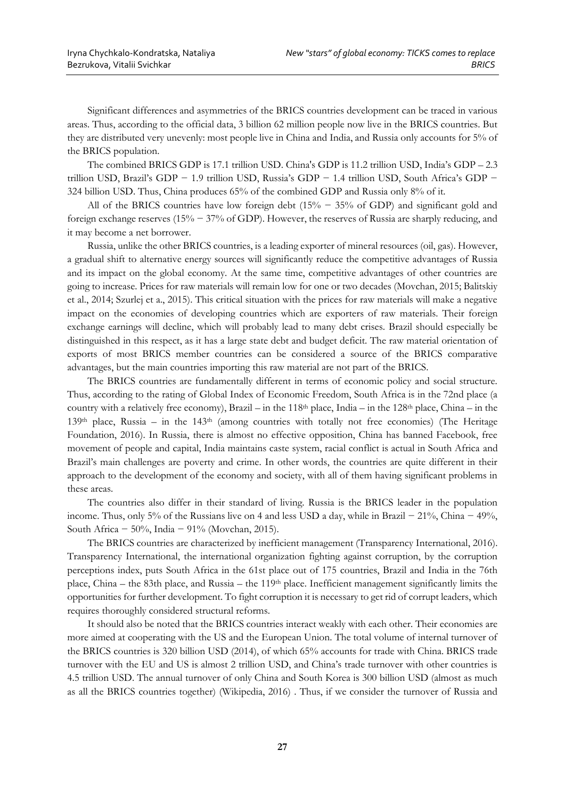Significant differences and asymmetries of the BRICS countries development can be traced in various areas. Thus, according to the official data, 3 billion 62 million people now live in the BRICS countries. But they are distributed very unevenly: most people live in China and India, and Russia only accounts for 5% of the BRICS population.

The combined BRICS GDP is 17.1 trillion USD. China's GDP is 11.2 trillion USD, India's GDP – 2.3 trillion USD, Brazil's GDP − 1.9 trillion USD, Russia's GDP − 1.4 trillion USD, South Africa's GDP − 324 billion USD. Thus, China produces 65% of the combined GDP and Russia only 8% of it.

All of the BRICS countries have low foreign debt (15% − 35% of GDP) and significant gold and foreign exchange reserves (15% − 37% of GDP). However, the reserves of Russia are sharply reducing, and it may become a net borrower.

Russia, unlike the other BRICS countries, is a leading exporter of mineral resources (oil, gas). However, a gradual shift to alternative energy sources will significantly reduce the competitive advantages of Russia and its impact on the global economy. At the same time, competitive advantages of other countries are going to increase. Prices for raw materials will remain low for one or two decades (Movchan, 2015; Balitskiy et al., 2014; Szurlej et a., 2015). This critical situation with the prices for raw materials will make a negative impact on the economies of developing countries which are exporters of raw materials. Their foreign exchange earnings will decline, which will probably lead to many debt crises. Brazil should especially be distinguished in this respect, as it has a large state debt and budget deficit. The raw material orientation of exports of most BRICS member countries can be considered a source of the BRICS comparative advantages, but the main countries importing this raw material are not part of the BRICS.

The BRICS countries are fundamentally different in terms of economic policy and social structure. Thus, according to the rating of Global Index of Economic Freedom, South Africa is in the 72nd place (a country with a relatively free economy), Brazil – in the  $118<sup>th</sup>$  place, India – in the  $128<sup>th</sup>$  place, China – in the 139th place, Russia – in the 143th (among countries with totally not free economies) (The Heritage Foundation, 2016). In Russia, there is almost no effective opposition, China has banned Facebook, free movement of people and capital, India maintains caste system, racial conflict is actual in South Africa and Brazil's main challenges are poverty and crime. In other words, the countries are quite different in their approach to the development of the economy and society, with all of them having significant problems in these areas.

The countries also differ in their standard of living. Russia is the BRICS leader in the population income. Thus, only 5% of the Russians live on 4 and less USD a day, while in Brazil − 21%, China − 49%, South Africa − 50%, India − 91% (Movchan, 2015).

The BRICS countries are characterized by inefficient management (Transparency International, 2016). Transparency International, the international organization fighting against corruption, by the corruption perceptions index, puts South Africa in the 61st place out of 175 countries, Brazil and India in the 76th place, China – the 83th place, and Russia – the 119<sup>th</sup> place. Inefficient management significantly limits the opportunities for further development. To fight corruption it is necessary to get rid of corrupt leaders, which requires thoroughly considered structural reforms.

It should also be noted that the BRICS countries interact weakly with each other. Their economies are more aimed at cooperating with the US and the European Union. The total volume of internal turnover of the BRICS countries is 320 billion USD (2014), of which 65% accounts for trade with China. BRICS trade turnover with the EU and US is almost 2 trillion USD, and China's trade turnover with other countries is 4.5 trillion USD. The annual turnover of only China and South Korea is 300 billion USD (almost as much as all the BRICS countries together) (Wikipedia, 2016) . Thus, if we consider the turnover of Russia and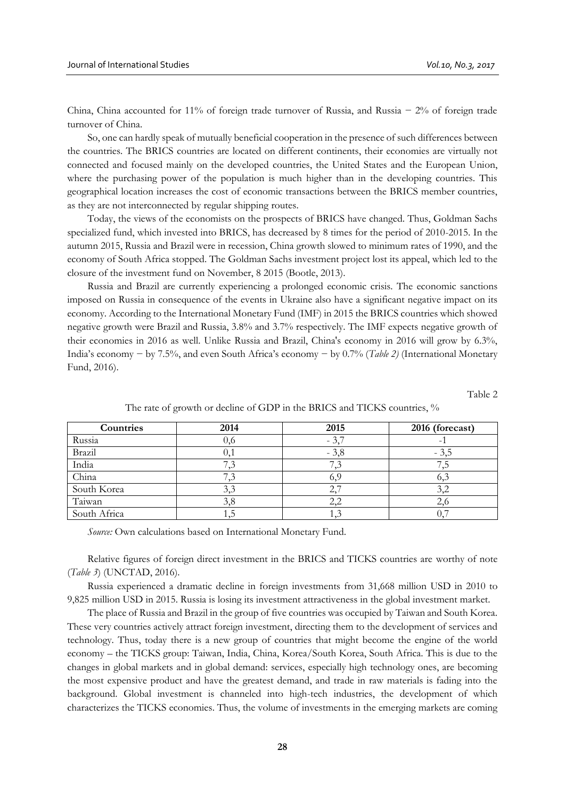China, China accounted for 11% of foreign trade turnover of Russia, and Russia − 2% of foreign trade turnover of China.

So, one can hardly speak of mutually beneficial cooperation in the presence of such differences between the countries. The BRICS countries are located on different continents, their economies are virtually not connected and focused mainly on the developed countries, the United States and the European Union, where the purchasing power of the population is much higher than in the developing countries. This geographical location increases the cost of economic transactions between the BRICS member countries, as they are not interconnected by regular shipping routes.

Today, the views of the economists on the prospects of BRICS have changed. Thus, Goldman Sachs specialized fund, which invested into BRICS, has decreased by 8 times for the period of 2010-2015. In the autumn 2015, Russia and Brazil were in recession, China growth slowed to minimum rates of 1990, and the economy of South Africa stopped. The Goldman Sachs investment project lost its appeal, which led to the closure of the investment fund on November, 8 2015 (Bootle, 2013).

Russia and Brazil are currently experiencing a prolonged economic crisis. The economic sanctions imposed on Russia in consequence of the events in Ukraine also have a significant negative impact on its economy. According to the International Monetary Fund (IMF) in 2015 the BRICS countries which showed negative growth were Brazil and Russia, 3.8% and 3.7% respectively. The IMF expects negative growth of their economies in 2016 as well. Unlike Russia and Brazil, China's economy in 2016 will grow by 6.3%, India's economy − by 7.5%, and even South Africa's economy − by 0.7% (*Table 2)* (International Monetary Fund, 2016).

Table 2

| Countries    | 2014 | 2015   | 2016 (forecast) |
|--------------|------|--------|-----------------|
| Russia       | 0,6  | $-3.$  |                 |
| Brazil       | 0,1  | $-3.8$ | - 3.5           |
| India        |      |        |                 |
| China        |      |        |                 |
| South Korea  | 3,3  | 4,     | 3,2             |
| Taiwan       | 3,8  | 2.     |                 |
| South Africa | ς, Ι |        |                 |

The rate of growth or decline of GDP in the BRICS and TICKS countries, %

*Source:* Own calculations based on International Monetary Fund.

Relative figures of foreign direct investment in the BRICS and TICKS countries are worthy of note (*Table 3*) (UNCTAD, 2016).

Russia experienced a dramatic decline in foreign investments from 31,668 million USD in 2010 to 9,825 million USD in 2015. Russia is losing its investment attractiveness in the global investment market.

The place of Russia and Brazil in the group of five countries was occupied by Taiwan and South Korea. These very countries actively attract foreign investment, directing them to the development of services and technology. Thus, today there is a new group of countries that might become the engine of the world economy – the TICKS group: Taiwan, India, China, Korea/South Korea, South Africa. This is due to the changes in global markets and in global demand: services, especially high technology ones, are becoming the most expensive product and have the greatest demand, and trade in raw materials is fading into the background. Global investment is channeled into high-tech industries, the development of which characterizes the TICKS economies. Thus, the volume of investments in the emerging markets are coming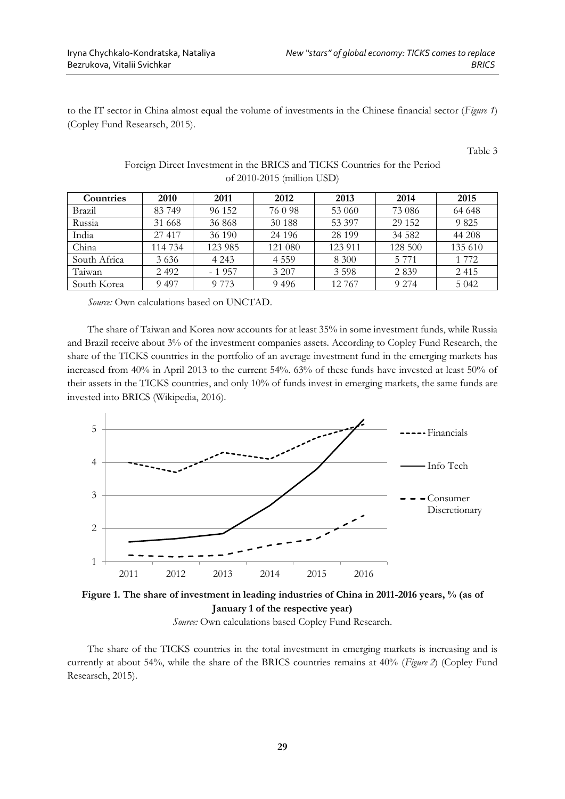to the IT sector in China almost equal the volume of investments in the Chinese financial sector (*Figure 1*) (Copley Fund Researsch, 2015).

Table 3

| <b>Countries</b> | <b>2010</b> | 2011    | 2012     | 2013    | 2014    | 2015    |  |
|------------------|-------------|---------|----------|---------|---------|---------|--|
| Brazil           | 83749       | 96 152  | 76098    | 53 060  | 73 086  | 64 648  |  |
| Russia           | 31 668      | 36868   | 30 188   | 53 397  | 29 15 2 | 9 8 2 5 |  |
| India            | 27 417      | 36 190  | 24 1 9 6 | 28 199  | 34 5 82 | 44 208  |  |
| China            | 114 734     | 123 985 | 121 080  | 123 911 | 128 500 | 135 610 |  |
| South Africa     | 3636        | 4 2 4 3 | 4 5 5 9  | 8 300   | 5 7 7 1 | 1 772   |  |
| Taiwan           | 2492        | $-1957$ | 3 207    | 3 5 9 8 | 2 8 3 9 | 2415    |  |
| South Korea      | 9497        | 9 7 7 3 | 9496     | 12 767  | 9 2 7 4 | 5 0 4 2 |  |

# Foreign Direct Investment in the BRICS and TICKS Countries for the Period of 2010-2015 (million USD)

*Source:* Own calculations based on UNCTAD.

The share of Taiwan and Korea now accounts for at least 35% in some investment funds, while Russia and Brazil receive about 3% of the investment companies assets. According to Copley Fund Research, the share of the TICKS countries in the portfolio of an average investment fund in the emerging markets has increased from 40% in April 2013 to the current 54%. 63% of these funds have invested at least 50% of their assets in the TICKS countries, and only 10% of funds invest in emerging markets, the same funds are invested into BRICS (Wikipedia, 2016).





The share of the TICKS countries in the total investment in emerging markets is increasing and is currently at about 54%, while the share of the BRICS countries remains at 40% (*Figure 2*) (Copley Fund Researsch, 2015).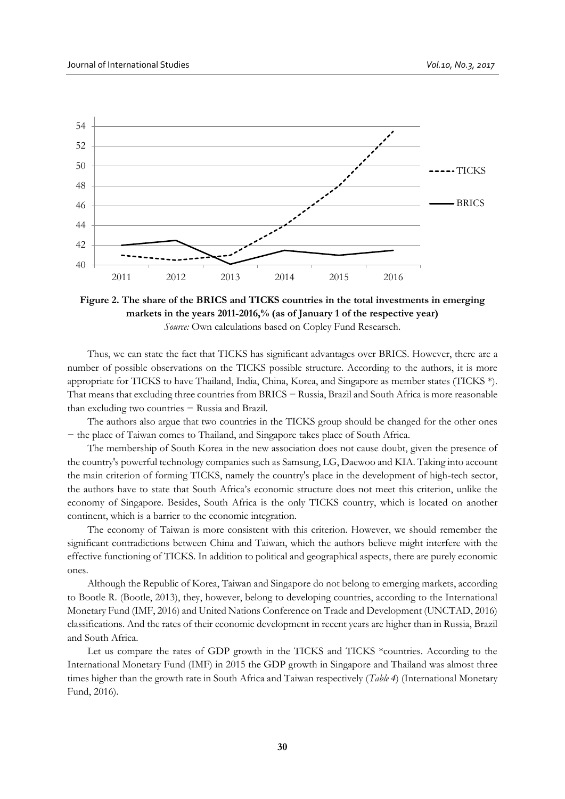

**Figure 2. The share of the BRICS and TICKS countries in the total investments in emerging markets in the years 2011-2016,% (as of January 1 of the respective year)** *Source:* Own calculations based on Copley Fund Researsch.

Thus, we can state the fact that TICKS has significant advantages over BRICS. However, there are a number of possible observations on the TICKS possible structure. According to the authors, it is more appropriate for TICKS to have Thailand, India, China, Korea, and Singapore as member states (TICKS \*). That means that excluding three countries from BRICS − Russia, Brazil and South Africa is more reasonable than excluding two countries − Russia and Brazil.

The authors also argue that two countries in the TICKS group should be changed for the other ones − the place of Taiwan comes to Thailand, and Singapore takes place of South Africa.

The membership of South Korea in the new association does not cause doubt, given the presence of the country's powerful technology companies such as Samsung, LG, Daewoo and KIA. Taking into account the main criterion of forming TICKS, namely the country's place in the development of high-tech sector, the authors have to state that South Africa's economic structure does not meet this criterion, unlike the economy of Singapore. Besides, South Africa is the only TICKS country, which is located on another continent, which is a barrier to the economic integration.

The economy of Taiwan is more consistent with this criterion. However, we should remember the significant contradictions between China and Taiwan, which the authors believe might interfere with the effective functioning of TICKS. In addition to political and geographical aspects, there are purely economic ones.

Although the Republic of Korea, Taiwan and Singapore do not belong to emerging markets, according to Bootle R. (Bootle, 2013), they, however, belong to developing countries, according to the International Monetary Fund (IMF, 2016) and United Nations Conference on Trade and Development (UNCTAD, 2016) classifications. And the rates of their economic development in recent years are higher than in Russia, Brazil and South Africa.

Let us compare the rates of GDP growth in the TICKS and TICKS \*countries. According to the International Monetary Fund (IMF) in 2015 the GDP growth in Singapore and Thailand was almost three times higher than the growth rate in South Africa and Taiwan respectively (*Table 4*) (International Monetary Fund, 2016).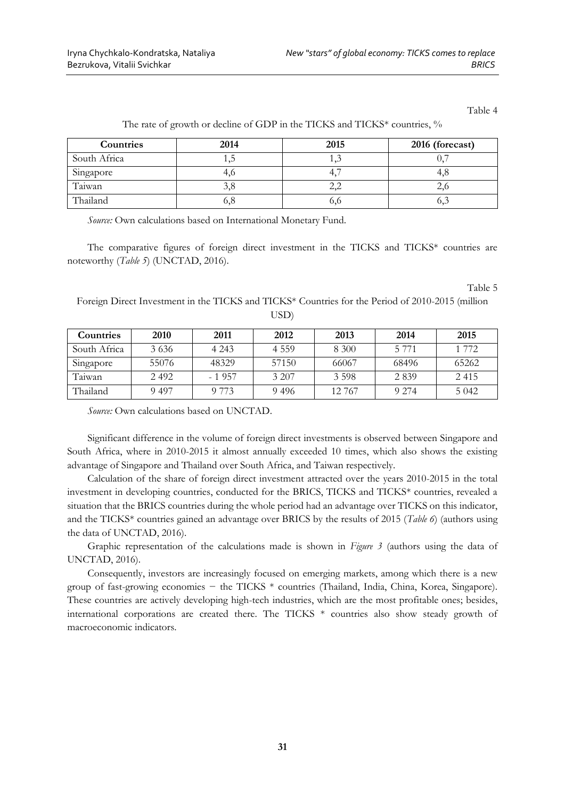Table 4

| Countries    | 2014 | 2015 | 2016 (forecast) |
|--------------|------|------|-----------------|
| South Africa | 1,J  |      |                 |
| Singapore    | 4,0  | 4.   |                 |
| Taiwan       | э,8  | عروك |                 |
| Thailand     | 0,0  | 0,0  | v.,             |

The rate of growth or decline of GDP in the TICKS and TICKS\* countries, %

*Source:* Own calculations based on International Monetary Fund.

The comparative figures of foreign direct investment in the TICKS and TICKS\* countries are noteworthy (*Table 5*) (UNCTAD, 2016).

Table 5

Foreign Direct Investment in the TICKS and TICKS\* Countries for the Period of 2010-2015 (million USD)

| <b>Countries</b> | 2010  | 2011    | 2012    | 2013   | 2014    | 2015    |
|------------------|-------|---------|---------|--------|---------|---------|
| South Africa     | 3636  | 4 2 4 3 | 4 5 5 9 | 8 300  | 5 7 7 1 | 1 772   |
| Singapore        | 55076 | 48329   | 57150   | 66067  | 68496   | 65262   |
| Taiwan           | 2492  | $-1957$ | 3 207   | 3.598  | 2839    | 2 4 1 5 |
| Thailand         | 9 497 | 9 773   | 9496    | 12.767 | 9 2 7 4 | 5 0 4 2 |

*Source:* Own calculations based on UNCTAD.

Significant difference in the volume of foreign direct investments is observed between Singapore and South Africa, where in 2010-2015 it almost annually exceeded 10 times, which also shows the existing advantage of Singapore and Thailand over South Africa, and Taiwan respectively.

Calculation of the share of foreign direct investment attracted over the years 2010-2015 in the total investment in developing countries, conducted for the BRICS, TICKS and TICKS\* countries, revealed a situation that the BRICS countries during the whole period had an advantage over TICKS on this indicator, and the TICKS\* countries gained an advantage over BRICS by the results of 2015 (*Table 6*) (authors using the data of UNCTAD, 2016).

Graphic representation of the calculations made is shown in *Figure 3* (authors using the data of UNCTAD, 2016).

Consequently, investors are increasingly focused on emerging markets, among which there is a new group of fast-growing economies − the TICKS \* countries (Thailand, India, China, Korea, Singapore). These countries are actively developing high-tech industries, which are the most profitable ones; besides, international corporations are created there. The TICKS \* countries also show steady growth of macroeconomic indicators.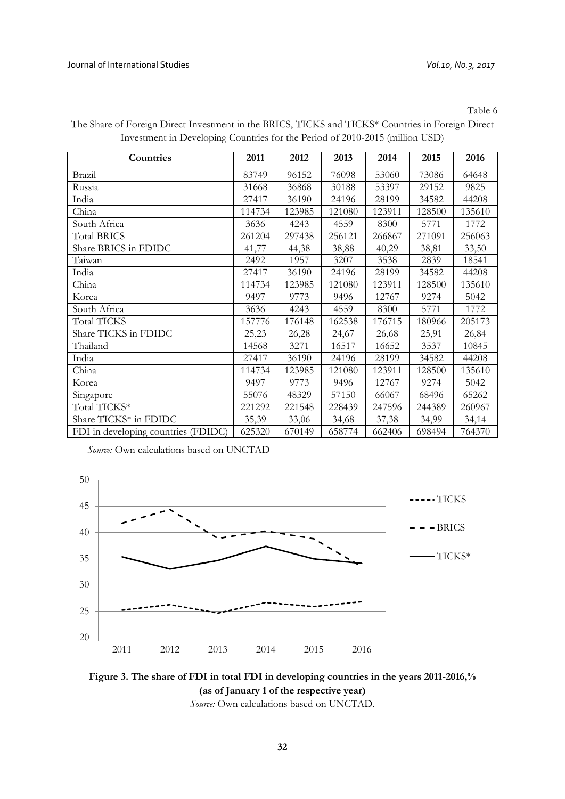Table 6

| Countries                           | 2011   | 2012   | 2013   | 2014   | 2015   | 2016   |
|-------------------------------------|--------|--------|--------|--------|--------|--------|
| Brazil                              | 83749  | 96152  | 76098  | 53060  | 73086  | 64648  |
| Russia                              | 31668  | 36868  | 30188  | 53397  | 29152  | 9825   |
| India                               | 27417  | 36190  | 24196  | 28199  | 34582  | 44208  |
| China                               | 114734 | 123985 | 121080 | 123911 | 128500 | 135610 |
| South Africa                        | 3636   | 4243   | 4559   | 8300   | 5771   | 1772   |
| <b>Total BRICS</b>                  | 261204 | 297438 | 256121 | 266867 | 271091 | 256063 |
| Share BRICS in FDIDC                | 41,77  | 44,38  | 38,88  | 40,29  | 38,81  | 33,50  |
| Taiwan                              | 2492   | 1957   | 3207   | 3538   | 2839   | 18541  |
| India                               | 27417  | 36190  | 24196  | 28199  | 34582  | 44208  |
| China                               | 114734 | 123985 | 121080 | 123911 | 128500 | 135610 |
| Korea                               | 9497   | 9773   | 9496   | 12767  | 9274   | 5042   |
| South Africa                        | 3636   | 4243   | 4559   | 8300   | 5771   | 1772   |
| <b>Total TICKS</b>                  | 157776 | 176148 | 162538 | 176715 | 180966 | 205173 |
| Share TICKS in FDIDC                | 25,23  | 26,28  | 24,67  | 26,68  | 25,91  | 26,84  |
| Thailand                            | 14568  | 3271   | 16517  | 16652  | 3537   | 10845  |
| India                               | 27417  | 36190  | 24196  | 28199  | 34582  | 44208  |
| China                               | 114734 | 123985 | 121080 | 123911 | 128500 | 135610 |
| Korea                               | 9497   | 9773   | 9496   | 12767  | 9274   | 5042   |
| Singapore                           | 55076  | 48329  | 57150  | 66067  | 68496  | 65262  |
| Total TICKS*                        | 221292 | 221548 | 228439 | 247596 | 244389 | 260967 |
| Share TICKS* in FDIDC               | 35,39  | 33,06  | 34,68  | 37,38  | 34,99  | 34,14  |
| FDI in developing countries (FDIDC) | 625320 | 670149 | 658774 | 662406 | 698494 | 764370 |

The Share of Foreign Direct Investment in the BRICS, TICKS and TICKS\* Countries in Foreign Direct Investment in Developing Countries for the Period of 2010-2015 (million USD)

*Source:* Own calculations based on UNCTAD





*Source:* Own calculations based on UNCTAD.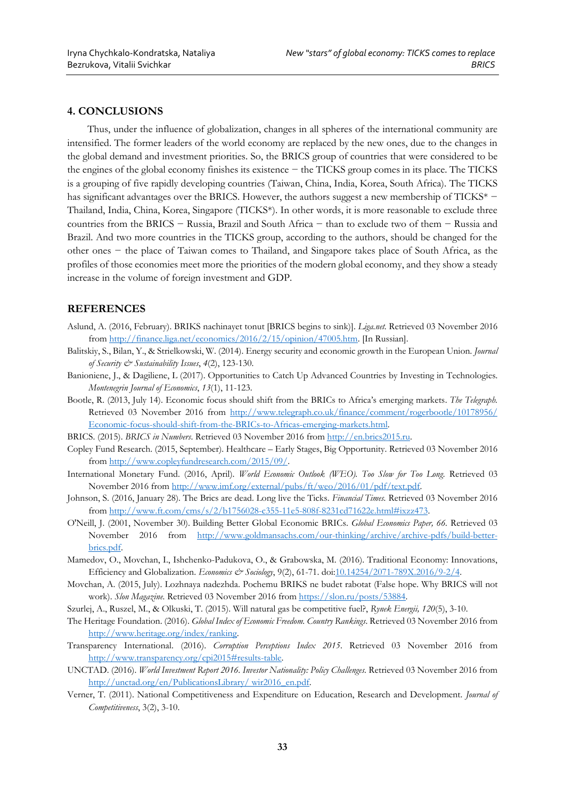### **4. CONCLUSIONS**

Thus, under the influence of globalization, changes in all spheres of the international community are intensified. The former leaders of the world economy are replaced by the new ones, due to the changes in the global demand and investment priorities. So, the BRICS group of countries that were considered to be the engines of the global economy finishes its existence − the TICKS group comes in its place. The TICKS is a grouping of five rapidly developing countries (Taiwan, China, India, Korea, South Africa). The TICKS has significant advantages over the BRICS. However, the authors suggest a new membership of TICKS<sup>\*</sup> − Thailand, India, China, Korea, Singapore (TICKS\*). In other words, it is more reasonable to exclude three countries from the BRICS − Russia, Brazil and South Africa − than to exclude two of them − Russia and Brazil. And two more countries in the TICKS group, according to the authors, should be changed for the other ones − the place of Taiwan comes to Thailand, and Singapore takes place of South Africa, as the profiles of those economies meet more the priorities of the modern global economy, and they show a steady increase in the volume of foreign investment and GDP.

### **REFERENCES**

- Aslund, A. (2016, February). BRIKS nachinayet tonut [BRICS begins to sink)]. *Liga.net.* Retrieved 03 November 2016 from [http://finance.liga.net/economics/2016/2/15/opinion/47005.htm.](http://finance.liga.net/economics/2016/2/15/opinion/47005.htm) [In Russian].
- Balitskiy, S., Bilan, Y., & Strielkowski, W. (2014). Energy security and economic growth in the European Union*. Journal of Security & Sustainability Issues*, *4*(2), 123-130.
- Banioniene, J., & Dagiliene, L (2017). Opportunities to Catch Up Advanced Countries by Investing in Technologies. *Montenegrin Journal of Economics*, *13*(1), 11-123.
- [Bootle,](http://www.telegraph.co.uk/finance/comment/rogerbootle/) R. (2013, July 14). Economic focus should shift from the BRICs to Africa's emerging markets. *The Telegraph.* Retrieved 03 November 2016 from [http://www.telegraph.co.uk/finance/comment/rogerbootle/10178956/](http://www.telegraph.co.uk/finance/comment/rogerbootle/10178956/%20Economic-focus-should-shift-from-the-BRICs-to-Africas-emerging-markets.html)  [Economic-focus-should-shift-from-the-BRICs-to-Africas-emerging-markets.html.](http://www.telegraph.co.uk/finance/comment/rogerbootle/10178956/%20Economic-focus-should-shift-from-the-BRICs-to-Africas-emerging-markets.html)
- BRICS. (2015). *BRICS in Numbers*. Retrieved 03 November 2016 from [http://en.brics2015.ru.](http://en.brics2015.ru/)
- Copley Fund Research. (2015, September). Healthcare [Early Stages, Big Opportunity.](http://www.copleyfundresearch.com/em_healthcare/) Retrieved 03 November 2016 from [http://www.copleyfundresearch.com/2015/09/.](http://www.copleyfundresearch.com/2015/09/)
- International Monetary Fund. (2016, April). *World Economic Outlook (WEO). Too Slow for Too Long.* Retrieved 03 November 2016 from [http://www.imf.org/external/pubs/ft/weo/2016/01/pdf/text.pdf.](http://www.imf.org/external/pubs/ft/weo/2016/01/pdf/text.pdf)
- Johnson, S. (2016, January 28). The Brics are dead. Long live the Ticks. *Financial Times.* Retrieved 03 November 2016 from [http://www.ft.com/cms/s/2/b1756028-c355-11e5-808f-8231cd71622e.html#ixzz473.](http://www.ft.com/cms/s/2/b1756028-c355-11e5-808f-8231cd71622e.html%23ixzz473)
- O'Neill, J. (2001, November 30). Building Better Global Economic BRICs. *Global Economics Paper, 66.* Retrieved 03 November 2016 from [http://www.goldmansachs.com/our-thinking/archive/archive-pdfs/build-better](http://www.goldmansachs.com/our-thinking/archive/archive-pdfs/build-better-brics.pdf)[brics.pdf.](http://www.goldmansachs.com/our-thinking/archive/archive-pdfs/build-better-brics.pdf)
- Mamedov, O., Movchan, I., Ishchenko-Padukova, O., & Grabowska, M. (2016). Traditional Economy: Innovations, Efficiency and Globalization. *Economics & Sociology*, 9(2), 61-71. do[i:10.14254/2071-789X.2016/9-2/4.](http://dx.doi.org/10.14254/2071-789X.2016/9-2/4)
- [Мovchan, A. \(2015, July\)](https://slon.ru/authors/40218). Lozhnaya nadezhda. Pochemu BRIKS ne budet rabotat (False hope. Why BRICS will not work). *Slon Magazine.* Retrieved 03 November 2016 from [https://slon.ru/posts/53884.](https://slon.ru/posts/53884)
- Szurlej, A., Ruszel, M., & Olkuski, T. (2015). Will natural gas be competitive fuel?, *Rynek Energii, 120*(5), 3-10.
- The Heritage Foundation. (2016). *Global Index of Economic Freedom. Country Rankings*. Retrieved 03 November 2016 from [http://www.heritage.org/index/ranking.](http://www.heritage.org/index/ranking)
- Transparency International. (2016). *Corruption Perceptions Index 2015*. Retrieved 03 November 2016 from [http://www.transparency.org/cpi2015#results-table.](http://www.transparency.org/cpi2015%23results-table)
- UNCTAD. (2016). *World Investment Report 2016. Investor Nationality: Policy Challenges.* Retrieved 03 November 2016 from [http://unctad.org/en/PublicationsLibrary/](http://unctad.org/en/PublicationsLibrary/%20wir2016_en.pdf) wir2016\_en.pdf.
- Verner, T. (2011). National Competitiveness and Expenditure on Education, Research and Development. *Journal of Competitiveness*, 3(2), 3-10.